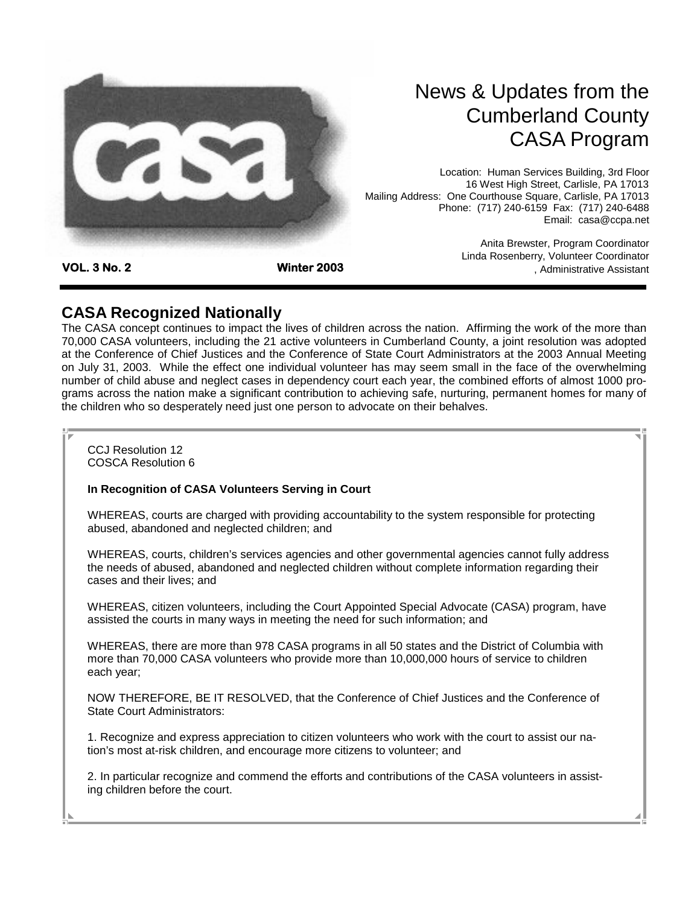

## News & Updates from the Cumberland County CASA Program

Location: Human Services Building, 3rd Floor 16 West High Street, Carlisle, PA 17013 Mailing Address: One Courthouse Square, Carlisle, PA 17013 Phone: (717) 240-6159 Fax: (717) 240-6488 Email: casa@ccpa.net

**VOL. 3 No. 2 Winter 2003** 

Anita Brewster, Program Coordinator Linda Rosenberry, Volunteer Coordinator , Administrative Assistant

## **CASA Recognized Nationally**

The CASA concept continues to impact the lives of children across the nation. Affirming the work of the more than 70,000 CASA volunteers, including the 21 active volunteers in Cumberland County, a joint resolution was adopted at the Conference of Chief Justices and the Conference of State Court Administrators at the 2003 Annual Meeting on July 31, 2003. While the effect one individual volunteer has may seem small in the face of the overwhelming number of child abuse and neglect cases in dependency court each year, the combined efforts of almost 1000 programs across the nation make a significant contribution to achieving safe, nurturing, permanent homes for many of the children who so desperately need just one person to advocate on their behalves.

CCJ Resolution 12 COSCA Resolution 6

#### **In Recognition of CASA Volunteers Serving in Court**

WHEREAS, courts are charged with providing accountability to the system responsible for protecting abused, abandoned and neglected children; and

WHEREAS, courts, children's services agencies and other governmental agencies cannot fully address the needs of abused, abandoned and neglected children without complete information regarding their cases and their lives; and

WHEREAS, citizen volunteers, including the Court Appointed Special Advocate (CASA) program, have assisted the courts in many ways in meeting the need for such information; and

WHEREAS, there are more than 978 CASA programs in all 50 states and the District of Columbia with more than 70,000 CASA volunteers who provide more than 10,000,000 hours of service to children each year;

NOW THEREFORE, BE IT RESOLVED, that the Conference of Chief Justices and the Conference of State Court Administrators:

1. Recognize and express appreciation to citizen volunteers who work with the court to assist our nation's most at-risk children, and encourage more citizens to volunteer; and

2. In particular recognize and commend the efforts and contributions of the CASA volunteers in assisting children before the court.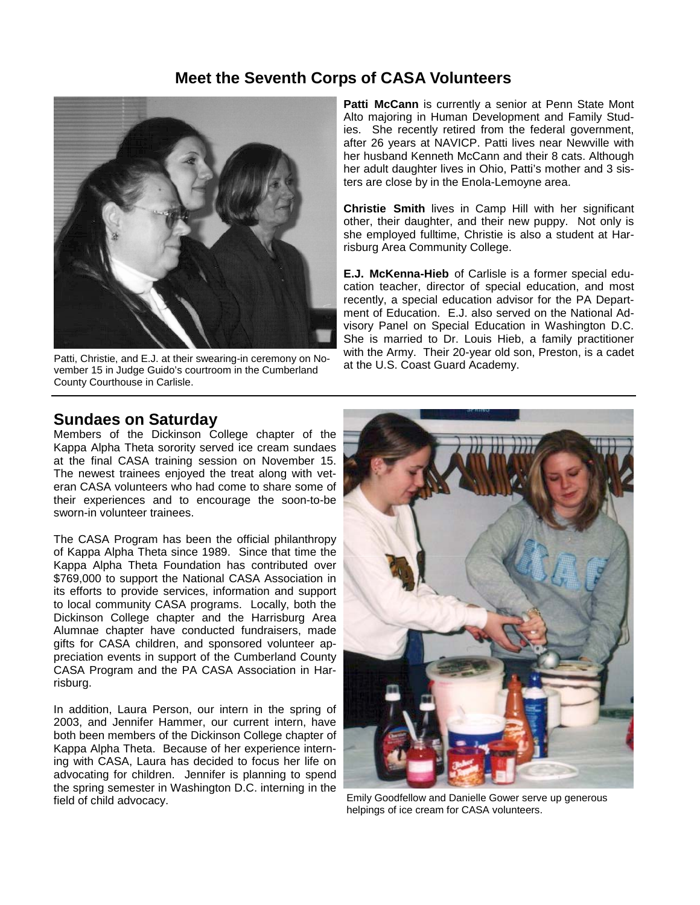#### **Meet the Seventh Corps of CASA Volunteers**



Patti, Christie, and E.J. at their swearing-in ceremony on November 15 in Judge Guido's courtroom in the Cumberland County Courthouse in Carlisle.

Patti McCann is currently a senior at Penn State Mont Alto majoring in Human Development and Family Studies. She recently retired from the federal government, after 26 years at NAVICP. Patti lives near Newville with her husband Kenneth McCann and their 8 cats. Although her adult daughter lives in Ohio, Patti's mother and 3 sisters are close by in the Enola-Lemoyne area.

**Christie Smith** lives in Camp Hill with her significant other, their daughter, and their new puppy. Not only is she employed fulltime, Christie is also a student at Harrisburg Area Community College.

**E.J. McKenna-Hieb** of Carlisle is a former special education teacher, director of special education, and most recently, a special education advisor for the PA Department of Education. E.J. also served on the National Advisory Panel on Special Education in Washington D.C. She is married to Dr. Louis Hieb, a family practitioner with the Army. Their 20-year old son, Preston, is a cadet at the U.S. Coast Guard Academy.

#### **Sundaes on Saturday**

Members of the Dickinson College chapter of the Kappa Alpha Theta sorority served ice cream sundaes at the final CASA training session on November 15. The newest trainees enjoyed the treat along with veteran CASA volunteers who had come to share some of their experiences and to encourage the soon-to-be sworn-in volunteer trainees.

The CASA Program has been the official philanthropy of Kappa Alpha Theta since 1989. Since that time the Kappa Alpha Theta Foundation has contributed over \$769,000 to support the National CASA Association in its efforts to provide services, information and support to local community CASA programs. Locally, both the Dickinson College chapter and the Harrisburg Area Alumnae chapter have conducted fundraisers, made gifts for CASA children, and sponsored volunteer appreciation events in support of the Cumberland County CASA Program and the PA CASA Association in Harrisburg.

In addition, Laura Person, our intern in the spring of 2003, and Jennifer Hammer, our current intern, have both been members of the Dickinson College chapter of Kappa Alpha Theta. Because of her experience interning with CASA, Laura has decided to focus her life on advocating for children. Jennifer is planning to spend the spring semester in Washington D.C. interning in the field of child advocacy.



Emily Goodfellow and Danielle Gower serve up generous helpings of ice cream for CASA volunteers.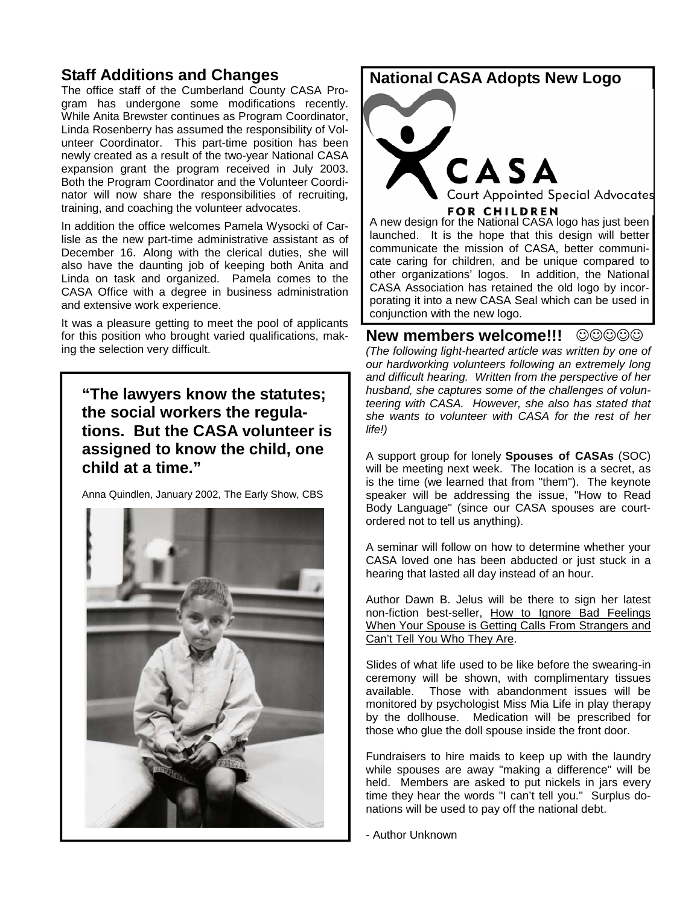## **Staff Additions and Changes**

The office staff of the Cumberland County CASA Program has undergone some modifications recently. While Anita Brewster continues as Program Coordinator, Linda Rosenberry has assumed the responsibility of Volunteer Coordinator. This part-time position has been newly created as a result of the two-year National CASA expansion grant the program received in July 2003. Both the Program Coordinator and the Volunteer Coordinator will now share the responsibilities of recruiting, training, and coaching the volunteer advocates.

In addition the office welcomes Pamela Wysocki of Carlisle as the new part-time administrative assistant as of December 16. Along with the clerical duties, she will also have the daunting job of keeping both Anita and Linda on task and organized. Pamela comes to the CASA Office with a degree in business administration and extensive work experience.

It was a pleasure getting to meet the pool of applicants for this position who brought varied qualifications, making the selection very difficult.

**"The lawyers know the statutes; the social workers the regulations. But the CASA volunteer is assigned to know the child, one child at a time."** 

Anna Quindlen, January 2002, The Early Show, CBS



#### **National CASA Adopts New Logo**



launched. It is the hope that this design will better communicate the mission of CASA, better communicate caring for children, and be unique compared to other organizations' logos. In addition, the National CASA Association has retained the old logo by incorporating it into a new CASA Seal which can be used in conjunction with the new logo.

**New members welcome!!!** ☺☺☺☺☺ *(The following light-hearted article was written by one of our hardworking volunteers following an extremely long and difficult hearing. Written from the perspective of her husband, she captures some of the challenges of volunteering with CASA. However, she also has stated that she wants to volunteer with CASA for the rest of her life!)*

A support group for lonely **Spouses of CASAs** (SOC) will be meeting next week. The location is a secret, as is the time (we learned that from "them"). The keynote speaker will be addressing the issue, "How to Read Body Language" (since our CASA spouses are courtordered not to tell us anything).

A seminar will follow on how to determine whether your CASA loved one has been abducted or just stuck in a hearing that lasted all day instead of an hour.

Author Dawn B. Jelus will be there to sign her latest non-fiction best-seller, How to Ignore Bad Feelings When Your Spouse is Getting Calls From Strangers and Can't Tell You Who They Are.

Slides of what life used to be like before the swearing-in ceremony will be shown, with complimentary tissues available. Those with abandonment issues will be monitored by psychologist Miss Mia Life in play therapy by the dollhouse. Medication will be prescribed for those who glue the doll spouse inside the front door.

Fundraisers to hire maids to keep up with the laundry while spouses are away "making a difference" will be held. Members are asked to put nickels in jars every time they hear the words "I can't tell you." Surplus donations will be used to pay off the national debt.

- Author Unknown